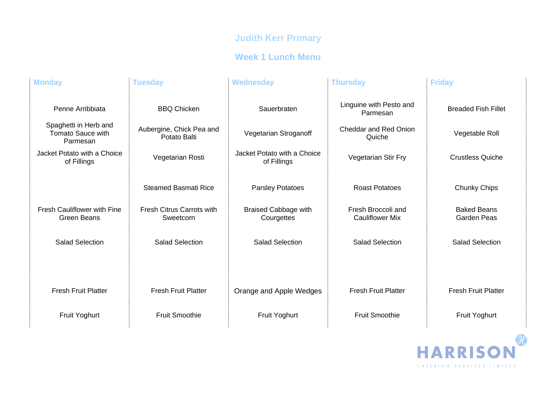# **Judith Kerr Primary**

### **Week 1 Lunch Menu**

| <b>Monday</b>                                                 | <b>Tuesday</b>                                | <b>Wednesday</b>                           | <b>Thursday</b>                              | <b>Friday</b>                            |
|---------------------------------------------------------------|-----------------------------------------------|--------------------------------------------|----------------------------------------------|------------------------------------------|
| Penne Arribbiata                                              | <b>BBQ Chicken</b>                            | Sauerbraten                                | Linguine with Pesto and<br>Parmesan          | <b>Breaded Fish Fillet</b>               |
| Spaghetti in Herb and<br><b>Tomato Sauce with</b><br>Parmesan | Aubergine, Chick Pea and<br>Potato Balti      | Vegetarian Stroganoff                      | <b>Cheddar and Red Onion</b><br>Quiche       | Vegetable Roll                           |
| Jacket Potato with a Choice<br>of Fillings                    | Vegetarian Rosti                              | Jacket Potato with a Choice<br>of Fillings | Vegetarian Stir Fry                          | <b>Crustless Quiche</b>                  |
|                                                               | <b>Steamed Basmati Rice</b>                   | Parsley Potatoes                           | <b>Roast Potatoes</b>                        | Chunky Chips                             |
| <b>Fresh Cauliflower with Fine</b><br>Green Beans             | <b>Fresh Citrus Carrots with</b><br>Sweetcorn | <b>Braised Cabbage with</b><br>Courgettes  | Fresh Broccoli and<br><b>Cauliflower Mix</b> | <b>Baked Beans</b><br><b>Garden Peas</b> |
| <b>Salad Selection</b>                                        | <b>Salad Selection</b>                        | <b>Salad Selection</b>                     | <b>Salad Selection</b>                       | <b>Salad Selection</b>                   |
|                                                               |                                               |                                            |                                              |                                          |
| <b>Fresh Fruit Platter</b>                                    | <b>Fresh Fruit Platter</b>                    | Orange and Apple Wedges                    | <b>Fresh Fruit Platter</b>                   | <b>Fresh Fruit Platter</b>               |
| <b>Fruit Yoghurt</b>                                          | <b>Fruit Smoothie</b>                         | Fruit Yoghurt                              | <b>Fruit Smoothie</b>                        | Fruit Yoghurt                            |

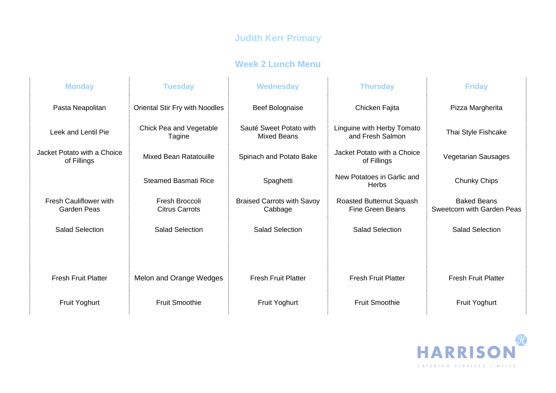## **Judith Kerr Primary**

#### **Week 2 Lunch Menu**

| <b>Monday</b>                                       | <b>Tuesday</b>                          | <b>Wednesday</b>                              | <b>Thursday</b>                                     | <b>Friday</b>                                    |
|-----------------------------------------------------|-----------------------------------------|-----------------------------------------------|-----------------------------------------------------|--------------------------------------------------|
| Pasta Neapolitan                                    | Oriental Stir Fry with Noodles          | Beef Bolognaise                               | Chicken Fajita                                      | Pizza Margherita                                 |
| Leek and Lentil Pie                                 | Chick Pea and Vegetable<br>Tagine       | Sauté Sweet Potato with<br><b>Mixed Beans</b> | Linguine with Herby Tomato<br>and Fresh Salmon      | Thai Style Fishcake                              |
| Jacket Potato with a Choice<br>of Fillings          | <b>Mixed Bean Ratatouille</b>           | Spinach and Potato Bake                       | Jacket Potato with a Choice<br>of Fillings          | <b>Vegetarian Sausages</b>                       |
|                                                     | <b>Steamed Basmati Rice</b>             | Spaghetti                                     | New Potatoes in Garlic and<br>Herbs                 | <b>Chunky Chips</b>                              |
| <b>Fresh Cauliflower with</b><br><b>Garden Peas</b> | Fresh Broccoli<br><b>Citrus Carrots</b> | <b>Braised Carrots with Savoy</b><br>Cabbage  | Roasted Butternut Squash<br><b>Fine Green Beans</b> | <b>Baked Beans</b><br>Sweetcorn with Garden Peas |
| <b>Salad Selection</b>                              | <b>Salad Selection</b>                  | <b>Salad Selection</b>                        | <b>Salad Selection</b>                              | <b>Salad Selection</b>                           |
|                                                     |                                         |                                               |                                                     |                                                  |
| <b>Fresh Fruit Platter</b>                          | Melon and Orange Wedges                 | <b>Fresh Fruit Platter</b>                    | <b>Fresh Fruit Platter</b>                          | <b>Fresh Fruit Platter</b>                       |
| <b>Fruit Yoghurt</b>                                | <b>Fruit Smoothie</b>                   | <b>Fruit Yoghurt</b>                          | <b>Fruit Smoothie</b>                               | <b>Fruit Yoghurt</b>                             |

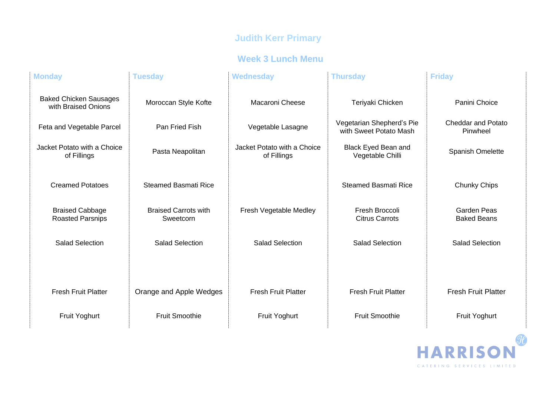# **Judith Kerr Primary**

### **Week 3 Lunch Menu**

| <b>Monday</b>                                        | <b>Tuesday</b>                           | <b>Wednesday</b>                           | <b>Thursday</b>                                     | <b>Friday</b>                            |
|------------------------------------------------------|------------------------------------------|--------------------------------------------|-----------------------------------------------------|------------------------------------------|
| <b>Baked Chicken Sausages</b><br>with Braised Onions | Moroccan Style Kofte                     | <b>Macaroni Cheese</b>                     | Teriyaki Chicken                                    | Panini Choice                            |
| Feta and Vegetable Parcel                            | Pan Fried Fish                           | Vegetable Lasagne                          | Vegetarian Shepherd's Pie<br>with Sweet Potato Mash | <b>Cheddar and Potato</b><br>Pinwheel    |
| Jacket Potato with a Choice<br>of Fillings           | Pasta Neapolitan                         | Jacket Potato with a Choice<br>of Fillings | Black Eyed Bean and<br>Vegetable Chilli             | Spanish Omelette                         |
| <b>Creamed Potatoes</b>                              | <b>Steamed Basmati Rice</b>              |                                            | <b>Steamed Basmati Rice</b>                         | Chunky Chips                             |
| <b>Braised Cabbage</b><br><b>Roasted Parsnips</b>    | <b>Braised Carrots with</b><br>Sweetcorn | Fresh Vegetable Medley                     | Fresh Broccoli<br><b>Citrus Carrots</b>             | <b>Garden Peas</b><br><b>Baked Beans</b> |
| <b>Salad Selection</b>                               | <b>Salad Selection</b>                   | <b>Salad Selection</b>                     | <b>Salad Selection</b>                              | <b>Salad Selection</b>                   |
|                                                      |                                          |                                            |                                                     |                                          |
| <b>Fresh Fruit Platter</b>                           | Orange and Apple Wedges                  | <b>Fresh Fruit Platter</b>                 | <b>Fresh Fruit Platter</b>                          | <b>Fresh Fruit Platter</b>               |
| Fruit Yoghurt                                        | <b>Fruit Smoothie</b>                    | <b>Fruit Yoghurt</b>                       | <b>Fruit Smoothie</b>                               | Fruit Yoghurt                            |